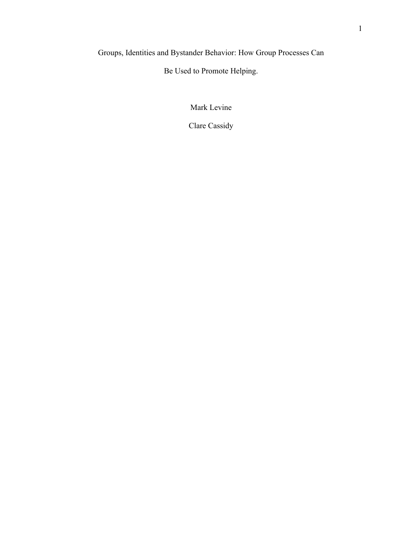# Groups, Identities and Bystander Behavior: How Group Processes Can

Be Used to Promote Helping.

Mark Levine

Clare Cassidy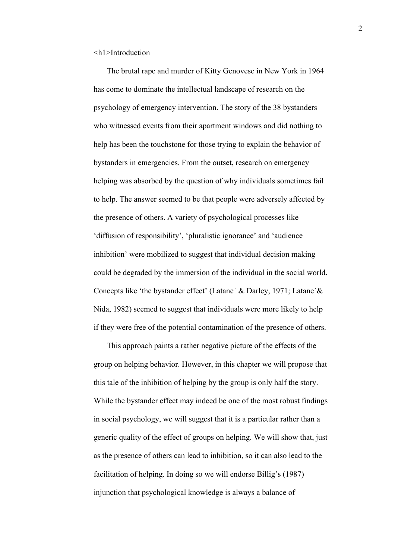## <h1>Introduction

The brutal rape and murder of Kitty Genovese in New York in 1964 has come to dominate the intellectual landscape of research on the psychology of emergency intervention. The story of the 38 bystanders who witnessed events from their apartment windows and did nothing to help has been the touchstone for those trying to explain the behavior of bystanders in emergencies. From the outset, research on emergency helping was absorbed by the question of why individuals sometimes fail to help. The answer seemed to be that people were adversely affected by the presence of others. A variety of psychological processes like 'diffusion of responsibility', 'pluralistic ignorance' and 'audience inhibition' were mobilized to suggest that individual decision making could be degraded by the immersion of the individual in the social world. Concepts like 'the bystander effect' (Latane´ & Darley, 1971; Latane´& Nida, 1982) seemed to suggest that individuals were more likely to help if they were free of the potential contamination of the presence of others.

This approach paints a rather negative picture of the effects of the group on helping behavior. However, in this chapter we will propose that this tale of the inhibition of helping by the group is only half the story. While the bystander effect may indeed be one of the most robust findings in social psychology, we will suggest that it is a particular rather than a generic quality of the effect of groups on helping. We will show that, just as the presence of others can lead to inhibition, so it can also lead to the facilitation of helping. In doing so we will endorse Billig's (1987) injunction that psychological knowledge is always a balance of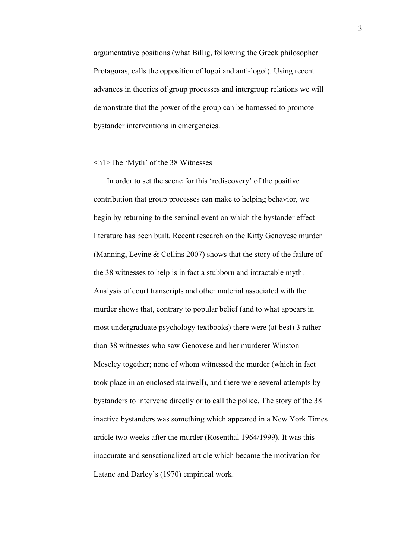argumentative positions (what Billig, following the Greek philosopher Protagoras, calls the opposition of logoi and anti-logoi). Using recent advances in theories of group processes and intergroup relations we will demonstrate that the power of the group can be harnessed to promote bystander interventions in emergencies.

# <h1>The 'Myth' of the 38 Witnesses

In order to set the scene for this 'rediscovery' of the positive contribution that group processes can make to helping behavior, we begin by returning to the seminal event on which the bystander effect literature has been built. Recent research on the Kitty Genovese murder (Manning, Levine & Collins 2007) shows that the story of the failure of the 38 witnesses to help is in fact a stubborn and intractable myth. Analysis of court transcripts and other material associated with the murder shows that, contrary to popular belief (and to what appears in most undergraduate psychology textbooks) there were (at best) 3 rather than 38 witnesses who saw Genovese and her murderer Winston Moseley together; none of whom witnessed the murder (which in fact took place in an enclosed stairwell), and there were several attempts by bystanders to intervene directly or to call the police. The story of the 38 inactive bystanders was something which appeared in a New York Times article two weeks after the murder (Rosenthal 1964/1999). It was this inaccurate and sensationalized article which became the motivation for Latane and Darley's (1970) empirical work.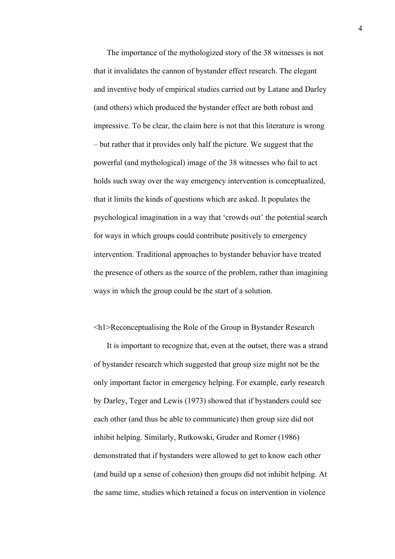The importance of the mythologized story of the 38 witnesses is not that it invalidates the cannon of bystander effect research. The elegant and inventive body of empirical studies carried out by Latane and Darley (and others) which produced the bystander effect are both robust and impressive. To be clear, the claim here is not that this literature is wrong – but rather that it provides only half the picture. We suggest that the powerful (and mythological) image of the 38 witnesses who fail to act holds such sway over the way emergency intervention is conceptualized, that it limits the kinds of questions which are asked. It populates the psychological imagination in a way that 'crowds out' the potential search for ways in which groups could contribute positively to emergency intervention. Traditional approaches to bystander behavior have treated the presence of others as the source of the problem, rather than imagining ways in which the group could be the start of a solution.

#### <h1>Reconceptualising the Role of the Group in Bystander Research

It is important to recognize that, even at the outset, there was a strand of bystander research which suggested that group size might not be the only important factor in emergency helping. For example, early research by Darley, Teger and Lewis (1973) showed that if bystanders could see each other (and thus be able to communicate) then group size did not inhibit helping. Similarly, Rutkowski, Gruder and Romer (1986) demonstrated that if bystanders were allowed to get to know each other (and build up a sense of cohesion) then groups did not inhibit helping. At the same time, studies which retained a focus on intervention in violence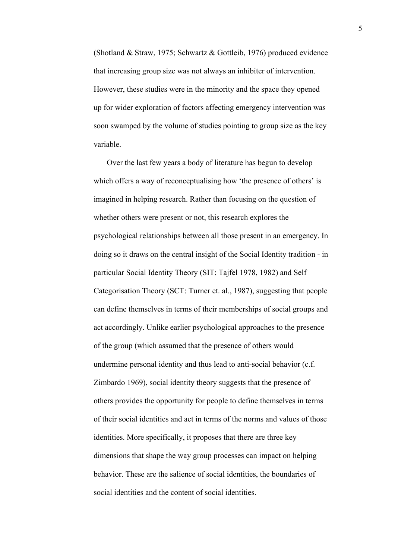(Shotland & Straw, 1975; Schwartz & Gottleib, 1976) produced evidence that increasing group size was not always an inhibiter of intervention. However, these studies were in the minority and the space they opened up for wider exploration of factors affecting emergency intervention was soon swamped by the volume of studies pointing to group size as the key variable.

Over the last few years a body of literature has begun to develop which offers a way of reconceptualising how 'the presence of others' is imagined in helping research. Rather than focusing on the question of whether others were present or not, this research explores the psychological relationships between all those present in an emergency. In doing so it draws on the central insight of the Social Identity tradition - in particular Social Identity Theory (SIT: Tajfel 1978, 1982) and Self Categorisation Theory (SCT: Turner et. al., 1987), suggesting that people can define themselves in terms of their memberships of social groups and act accordingly. Unlike earlier psychological approaches to the presence of the group (which assumed that the presence of others would undermine personal identity and thus lead to anti-social behavior (c.f. Zimbardo 1969), social identity theory suggests that the presence of others provides the opportunity for people to define themselves in terms of their social identities and act in terms of the norms and values of those identities. More specifically, it proposes that there are three key dimensions that shape the way group processes can impact on helping behavior. These are the salience of social identities, the boundaries of social identities and the content of social identities.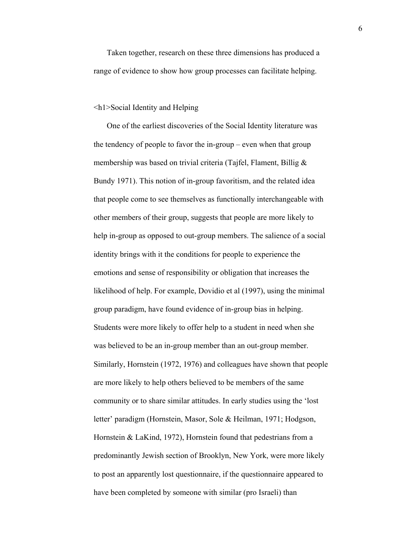Taken together, research on these three dimensions has produced a range of evidence to show how group processes can facilitate helping.

# <h1>Social Identity and Helping

One of the earliest discoveries of the Social Identity literature was the tendency of people to favor the in-group – even when that group membership was based on trivial criteria (Tajfel, Flament, Billig & Bundy 1971). This notion of in-group favoritism, and the related idea that people come to see themselves as functionally interchangeable with other members of their group, suggests that people are more likely to help in-group as opposed to out-group members. The salience of a social identity brings with it the conditions for people to experience the emotions and sense of responsibility or obligation that increases the likelihood of help. For example, Dovidio et al (1997), using the minimal group paradigm, have found evidence of in-group bias in helping. Students were more likely to offer help to a student in need when she was believed to be an in-group member than an out-group member. Similarly, Hornstein (1972, 1976) and colleagues have shown that people are more likely to help others believed to be members of the same community or to share similar attitudes. In early studies using the 'lost letter' paradigm (Hornstein, Masor, Sole & Heilman, 1971; Hodgson, Hornstein & LaKind, 1972), Hornstein found that pedestrians from a predominantly Jewish section of Brooklyn, New York, were more likely to post an apparently lost questionnaire, if the questionnaire appeared to have been completed by someone with similar (pro Israeli) than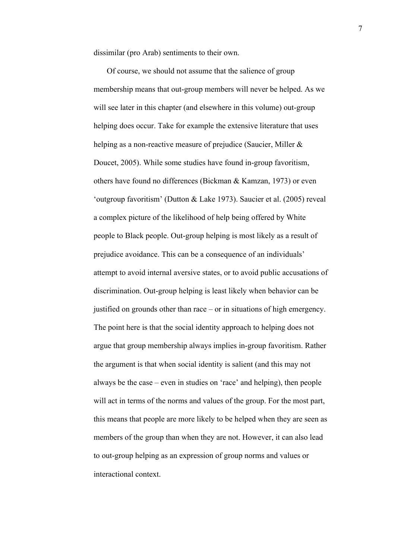dissimilar (pro Arab) sentiments to their own.

Of course, we should not assume that the salience of group membership means that out-group members will never be helped. As we will see later in this chapter (and elsewhere in this volume) out-group helping does occur. Take for example the extensive literature that uses helping as a non-reactive measure of prejudice (Saucier, Miller & Doucet, 2005). While some studies have found in-group favoritism, others have found no differences (Bickman & Kamzan, 1973) or even 'outgroup favoritism' (Dutton & Lake 1973). Saucier et al. (2005) reveal a complex picture of the likelihood of help being offered by White people to Black people. Out-group helping is most likely as a result of prejudice avoidance. This can be a consequence of an individuals' attempt to avoid internal aversive states, or to avoid public accusations of discrimination. Out-group helping is least likely when behavior can be justified on grounds other than race – or in situations of high emergency. The point here is that the social identity approach to helping does not argue that group membership always implies in-group favoritism. Rather the argument is that when social identity is salient (and this may not always be the case – even in studies on 'race' and helping), then people will act in terms of the norms and values of the group. For the most part, this means that people are more likely to be helped when they are seen as members of the group than when they are not. However, it can also lead to out-group helping as an expression of group norms and values or interactional context.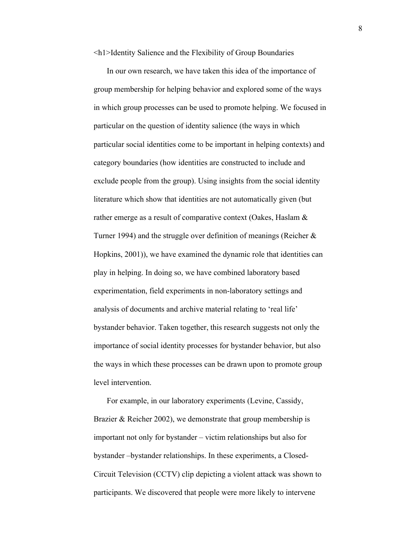<h1>Identity Salience and the Flexibility of Group Boundaries

In our own research, we have taken this idea of the importance of group membership for helping behavior and explored some of the ways in which group processes can be used to promote helping. We focused in particular on the question of identity salience (the ways in which particular social identities come to be important in helping contexts) and category boundaries (how identities are constructed to include and exclude people from the group). Using insights from the social identity literature which show that identities are not automatically given (but rather emerge as a result of comparative context (Oakes, Haslam & Turner 1994) and the struggle over definition of meanings (Reicher & Hopkins, 2001)), we have examined the dynamic role that identities can play in helping. In doing so, we have combined laboratory based experimentation, field experiments in non-laboratory settings and analysis of documents and archive material relating to 'real life' bystander behavior. Taken together, this research suggests not only the importance of social identity processes for bystander behavior, but also the ways in which these processes can be drawn upon to promote group level intervention.

For example, in our laboratory experiments (Levine, Cassidy, Brazier & Reicher 2002), we demonstrate that group membership is important not only for bystander – victim relationships but also for bystander –bystander relationships. In these experiments, a Closed-Circuit Television (CCTV) clip depicting a violent attack was shown to participants. We discovered that people were more likely to intervene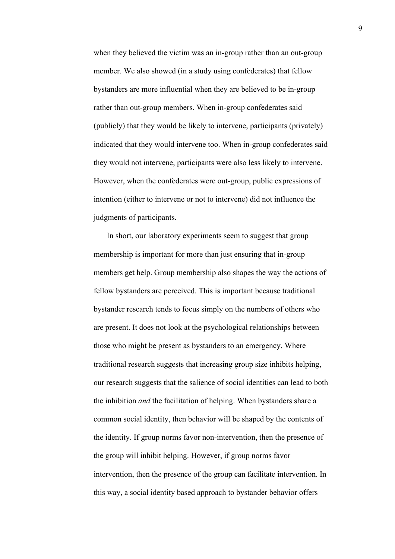when they believed the victim was an in-group rather than an out-group member. We also showed (in a study using confederates) that fellow bystanders are more influential when they are believed to be in-group rather than out-group members. When in-group confederates said (publicly) that they would be likely to intervene, participants (privately) indicated that they would intervene too. When in-group confederates said they would not intervene, participants were also less likely to intervene. However, when the confederates were out-group, public expressions of intention (either to intervene or not to intervene) did not influence the judgments of participants.

In short, our laboratory experiments seem to suggest that group membership is important for more than just ensuring that in-group members get help. Group membership also shapes the way the actions of fellow bystanders are perceived. This is important because traditional bystander research tends to focus simply on the numbers of others who are present. It does not look at the psychological relationships between those who might be present as bystanders to an emergency. Where traditional research suggests that increasing group size inhibits helping, our research suggests that the salience of social identities can lead to both the inhibition *and* the facilitation of helping. When bystanders share a common social identity, then behavior will be shaped by the contents of the identity. If group norms favor non-intervention, then the presence of the group will inhibit helping. However, if group norms favor intervention, then the presence of the group can facilitate intervention. In this way, a social identity based approach to bystander behavior offers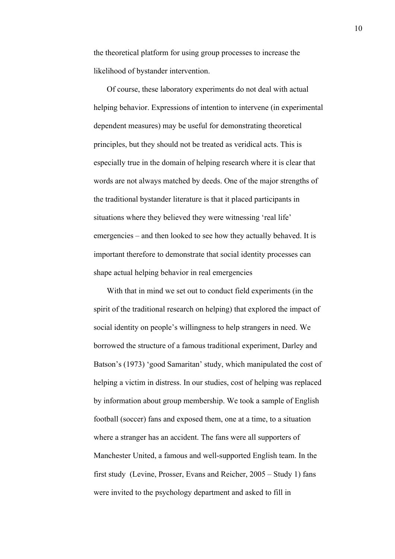the theoretical platform for using group processes to increase the likelihood of bystander intervention.

Of course, these laboratory experiments do not deal with actual helping behavior. Expressions of intention to intervene (in experimental dependent measures) may be useful for demonstrating theoretical principles, but they should not be treated as veridical acts. This is especially true in the domain of helping research where it is clear that words are not always matched by deeds. One of the major strengths of the traditional bystander literature is that it placed participants in situations where they believed they were witnessing 'real life' emergencies – and then looked to see how they actually behaved. It is important therefore to demonstrate that social identity processes can shape actual helping behavior in real emergencies

With that in mind we set out to conduct field experiments (in the spirit of the traditional research on helping) that explored the impact of social identity on people's willingness to help strangers in need. We borrowed the structure of a famous traditional experiment, Darley and Batson's (1973) 'good Samaritan' study, which manipulated the cost of helping a victim in distress. In our studies, cost of helping was replaced by information about group membership. We took a sample of English football (soccer) fans and exposed them, one at a time, to a situation where a stranger has an accident. The fans were all supporters of Manchester United, a famous and well-supported English team. In the first study (Levine, Prosser, Evans and Reicher, 2005 – Study 1) fans were invited to the psychology department and asked to fill in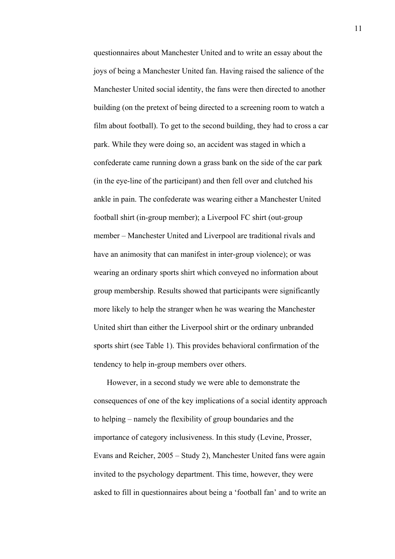questionnaires about Manchester United and to write an essay about the joys of being a Manchester United fan. Having raised the salience of the Manchester United social identity, the fans were then directed to another building (on the pretext of being directed to a screening room to watch a film about football). To get to the second building, they had to cross a car park. While they were doing so, an accident was staged in which a confederate came running down a grass bank on the side of the car park (in the eye-line of the participant) and then fell over and clutched his ankle in pain. The confederate was wearing either a Manchester United football shirt (in-group member); a Liverpool FC shirt (out-group member – Manchester United and Liverpool are traditional rivals and have an animosity that can manifest in inter-group violence); or was wearing an ordinary sports shirt which conveyed no information about group membership. Results showed that participants were significantly more likely to help the stranger when he was wearing the Manchester United shirt than either the Liverpool shirt or the ordinary unbranded sports shirt (see Table 1). This provides behavioral confirmation of the tendency to help in-group members over others.

However, in a second study we were able to demonstrate the consequences of one of the key implications of a social identity approach to helping – namely the flexibility of group boundaries and the importance of category inclusiveness. In this study (Levine, Prosser, Evans and Reicher, 2005 – Study 2), Manchester United fans were again invited to the psychology department. This time, however, they were asked to fill in questionnaires about being a 'football fan' and to write an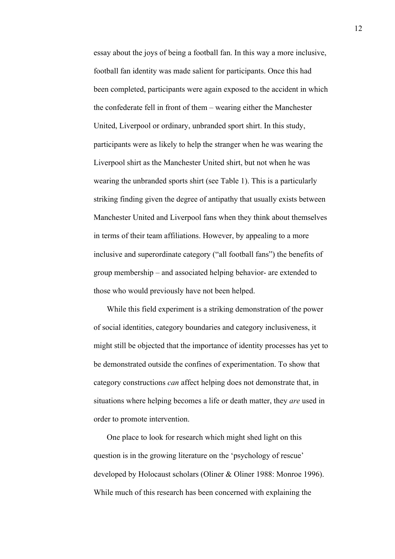essay about the joys of being a football fan. In this way a more inclusive, football fan identity was made salient for participants. Once this had been completed, participants were again exposed to the accident in which the confederate fell in front of them – wearing either the Manchester United, Liverpool or ordinary, unbranded sport shirt. In this study, participants were as likely to help the stranger when he was wearing the Liverpool shirt as the Manchester United shirt, but not when he was wearing the unbranded sports shirt (see Table 1). This is a particularly striking finding given the degree of antipathy that usually exists between Manchester United and Liverpool fans when they think about themselves in terms of their team affiliations. However, by appealing to a more inclusive and superordinate category ("all football fans") the benefits of group membership – and associated helping behavior- are extended to those who would previously have not been helped.

While this field experiment is a striking demonstration of the power of social identities, category boundaries and category inclusiveness, it might still be objected that the importance of identity processes has yet to be demonstrated outside the confines of experimentation. To show that category constructions *can* affect helping does not demonstrate that, in situations where helping becomes a life or death matter, they *are* used in order to promote intervention.

One place to look for research which might shed light on this question is in the growing literature on the 'psychology of rescue' developed by Holocaust scholars (Oliner & Oliner 1988: Monroe 1996). While much of this research has been concerned with explaining the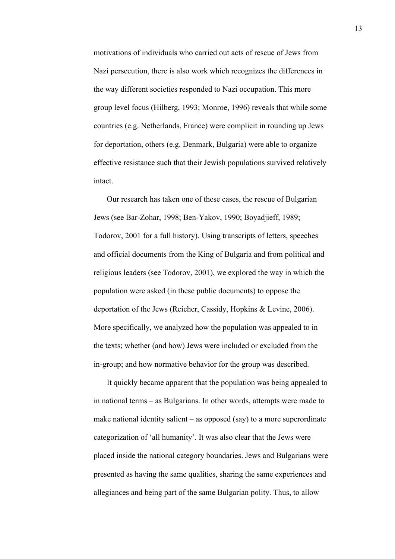motivations of individuals who carried out acts of rescue of Jews from Nazi persecution, there is also work which recognizes the differences in the way different societies responded to Nazi occupation. This more group level focus (Hilberg, 1993; Monroe, 1996) reveals that while some countries (e.g. Netherlands, France) were complicit in rounding up Jews for deportation, others (e.g. Denmark, Bulgaria) were able to organize effective resistance such that their Jewish populations survived relatively intact.

Our research has taken one of these cases, the rescue of Bulgarian Jews (see Bar-Zohar, 1998; Ben-Yakov, 1990; Boyadjieff, 1989; Todorov, 2001 for a full history). Using transcripts of letters, speeches and official documents from the King of Bulgaria and from political and religious leaders (see Todorov, 2001), we explored the way in which the population were asked (in these public documents) to oppose the deportation of the Jews (Reicher, Cassidy, Hopkins & Levine, 2006). More specifically, we analyzed how the population was appealed to in the texts; whether (and how) Jews were included or excluded from the in-group; and how normative behavior for the group was described.

It quickly became apparent that the population was being appealed to in national terms – as Bulgarians. In other words, attempts were made to make national identity salient – as opposed (say) to a more superordinate categorization of 'all humanity'. It was also clear that the Jews were placed inside the national category boundaries. Jews and Bulgarians were presented as having the same qualities, sharing the same experiences and allegiances and being part of the same Bulgarian polity. Thus, to allow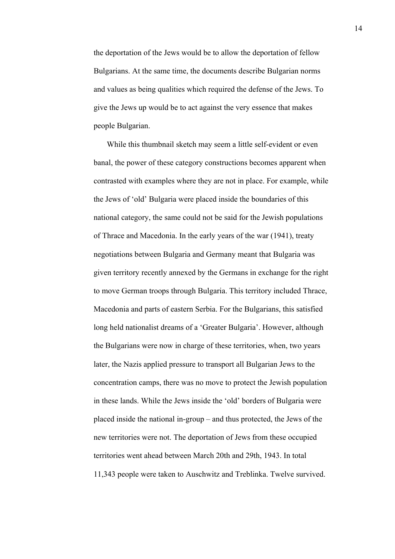the deportation of the Jews would be to allow the deportation of fellow Bulgarians. At the same time, the documents describe Bulgarian norms and values as being qualities which required the defense of the Jews. To give the Jews up would be to act against the very essence that makes people Bulgarian.

While this thumbnail sketch may seem a little self-evident or even banal, the power of these category constructions becomes apparent when contrasted with examples where they are not in place. For example, while the Jews of 'old' Bulgaria were placed inside the boundaries of this national category, the same could not be said for the Jewish populations of Thrace and Macedonia. In the early years of the war (1941), treaty negotiations between Bulgaria and Germany meant that Bulgaria was given territory recently annexed by the Germans in exchange for the right to move German troops through Bulgaria. This territory included Thrace, Macedonia and parts of eastern Serbia. For the Bulgarians, this satisfied long held nationalist dreams of a 'Greater Bulgaria'. However, although the Bulgarians were now in charge of these territories, when, two years later, the Nazis applied pressure to transport all Bulgarian Jews to the concentration camps, there was no move to protect the Jewish population in these lands. While the Jews inside the 'old' borders of Bulgaria were placed inside the national in-group – and thus protected, the Jews of the new territories were not. The deportation of Jews from these occupied territories went ahead between March 20th and 29th, 1943. In total 11,343 people were taken to Auschwitz and Treblinka. Twelve survived.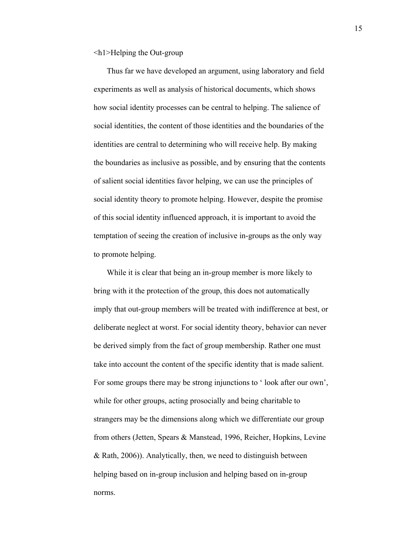# <h1>Helping the Out-group

Thus far we have developed an argument, using laboratory and field experiments as well as analysis of historical documents, which shows how social identity processes can be central to helping. The salience of social identities, the content of those identities and the boundaries of the identities are central to determining who will receive help. By making the boundaries as inclusive as possible, and by ensuring that the contents of salient social identities favor helping, we can use the principles of social identity theory to promote helping. However, despite the promise of this social identity influenced approach, it is important to avoid the temptation of seeing the creation of inclusive in-groups as the only way to promote helping.

While it is clear that being an in-group member is more likely to bring with it the protection of the group, this does not automatically imply that out-group members will be treated with indifference at best, or deliberate neglect at worst. For social identity theory, behavior can never be derived simply from the fact of group membership. Rather one must take into account the content of the specific identity that is made salient. For some groups there may be strong injunctions to ' look after our own', while for other groups, acting prosocially and being charitable to strangers may be the dimensions along which we differentiate our group from others (Jetten, Spears & Manstead, 1996, Reicher, Hopkins, Levine & Rath, 2006)). Analytically, then, we need to distinguish between helping based on in-group inclusion and helping based on in-group norms.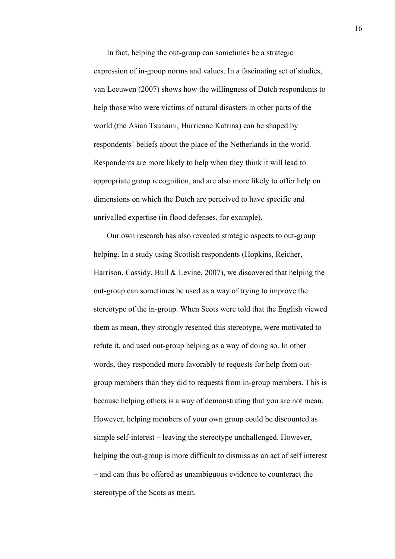In fact, helping the out-group can sometimes be a strategic expression of in-group norms and values. In a fascinating set of studies, van Leeuwen (2007) shows how the willingness of Dutch respondents to help those who were victims of natural disasters in other parts of the world (the Asian Tsunami, Hurricane Katrina) can be shaped by respondents' beliefs about the place of the Netherlands in the world. Respondents are more likely to help when they think it will lead to appropriate group recognition, and are also more likely to offer help on dimensions on which the Dutch are perceived to have specific and unrivalled expertise (in flood defenses, for example).

Our own research has also revealed strategic aspects to out-group helping. In a study using Scottish respondents (Hopkins, Reicher, Harrison, Cassidy, Bull & Levine, 2007), we discovered that helping the out-group can sometimes be used as a way of trying to improve the stereotype of the in-group. When Scots were told that the English viewed them as mean, they strongly resented this stereotype, were motivated to refute it, and used out-group helping as a way of doing so. In other words, they responded more favorably to requests for help from outgroup members than they did to requests from in-group members. This is because helping others is a way of demonstrating that you are not mean. However, helping members of your own group could be discounted as simple self-interest – leaving the stereotype unchallenged. However, helping the out-group is more difficult to dismiss as an act of self interest – and can thus be offered as unambiguous evidence to counteract the stereotype of the Scots as mean.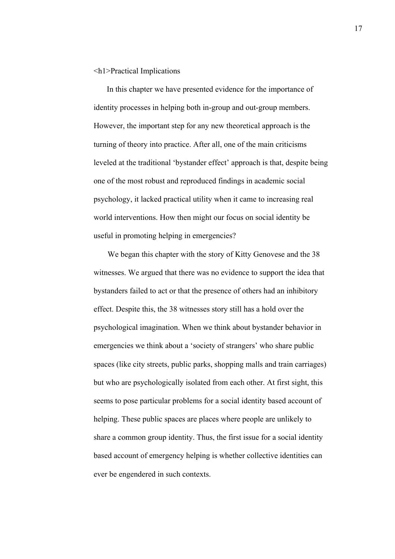<h1>Practical Implications

In this chapter we have presented evidence for the importance of identity processes in helping both in-group and out-group members. However, the important step for any new theoretical approach is the turning of theory into practice. After all, one of the main criticisms leveled at the traditional 'bystander effect' approach is that, despite being one of the most robust and reproduced findings in academic social psychology, it lacked practical utility when it came to increasing real world interventions. How then might our focus on social identity be useful in promoting helping in emergencies?

We began this chapter with the story of Kitty Genovese and the 38 witnesses. We argued that there was no evidence to support the idea that bystanders failed to act or that the presence of others had an inhibitory effect. Despite this, the 38 witnesses story still has a hold over the psychological imagination. When we think about bystander behavior in emergencies we think about a 'society of strangers' who share public spaces (like city streets, public parks, shopping malls and train carriages) but who are psychologically isolated from each other. At first sight, this seems to pose particular problems for a social identity based account of helping. These public spaces are places where people are unlikely to share a common group identity. Thus, the first issue for a social identity based account of emergency helping is whether collective identities can ever be engendered in such contexts.

17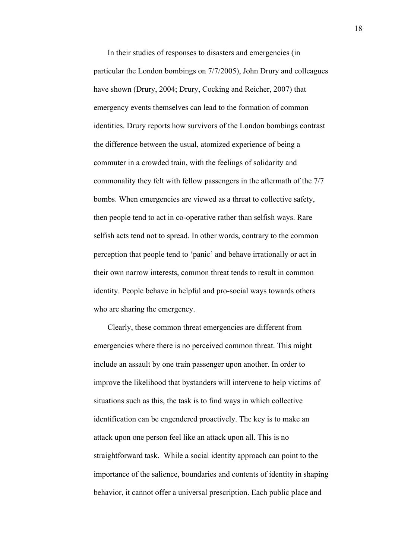In their studies of responses to disasters and emergencies (in particular the London bombings on 7/7/2005), John Drury and colleagues have shown (Drury, 2004; Drury, Cocking and Reicher, 2007) that emergency events themselves can lead to the formation of common identities. Drury reports how survivors of the London bombings contrast the difference between the usual, atomized experience of being a commuter in a crowded train, with the feelings of solidarity and commonality they felt with fellow passengers in the aftermath of the 7/7 bombs. When emergencies are viewed as a threat to collective safety, then people tend to act in co-operative rather than selfish ways. Rare selfish acts tend not to spread. In other words, contrary to the common perception that people tend to 'panic' and behave irrationally or act in their own narrow interests, common threat tends to result in common identity. People behave in helpful and pro-social ways towards others who are sharing the emergency.

Clearly, these common threat emergencies are different from emergencies where there is no perceived common threat. This might include an assault by one train passenger upon another. In order to improve the likelihood that bystanders will intervene to help victims of situations such as this, the task is to find ways in which collective identification can be engendered proactively. The key is to make an attack upon one person feel like an attack upon all. This is no straightforward task. While a social identity approach can point to the importance of the salience, boundaries and contents of identity in shaping behavior, it cannot offer a universal prescription. Each public place and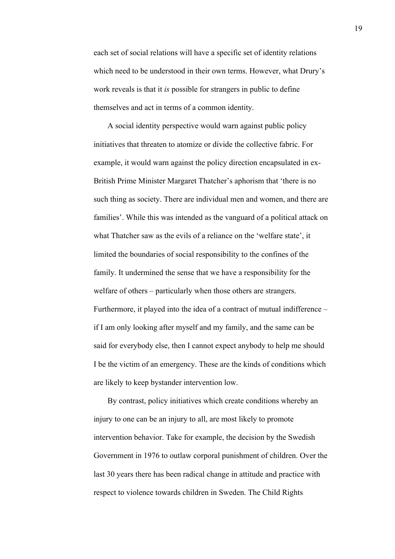each set of social relations will have a specific set of identity relations which need to be understood in their own terms. However, what Drury's work reveals is that it *is* possible for strangers in public to define themselves and act in terms of a common identity.

A social identity perspective would warn against public policy initiatives that threaten to atomize or divide the collective fabric. For example, it would warn against the policy direction encapsulated in ex-British Prime Minister Margaret Thatcher's aphorism that 'there is no such thing as society. There are individual men and women, and there are families'. While this was intended as the vanguard of a political attack on what Thatcher saw as the evils of a reliance on the 'welfare state', it limited the boundaries of social responsibility to the confines of the family. It undermined the sense that we have a responsibility for the welfare of others – particularly when those others are strangers. Furthermore, it played into the idea of a contract of mutual indifference – if I am only looking after myself and my family, and the same can be said for everybody else, then I cannot expect anybody to help me should I be the victim of an emergency. These are the kinds of conditions which are likely to keep bystander intervention low.

By contrast, policy initiatives which create conditions whereby an injury to one can be an injury to all, are most likely to promote intervention behavior. Take for example, the decision by the Swedish Government in 1976 to outlaw corporal punishment of children. Over the last 30 years there has been radical change in attitude and practice with respect to violence towards children in Sweden. The Child Rights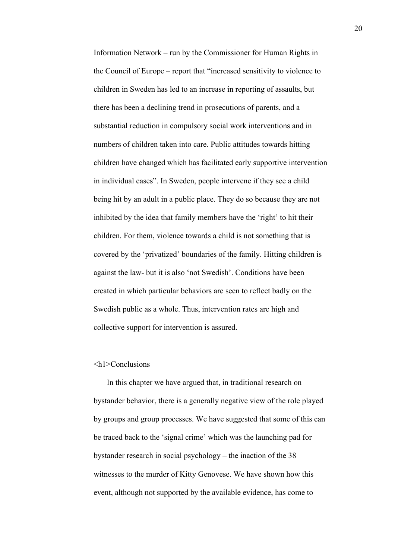Information Network – run by the Commissioner for Human Rights in the Council of Europe – report that "increased sensitivity to violence to children in Sweden has led to an increase in reporting of assaults, but there has been a declining trend in prosecutions of parents, and a substantial reduction in compulsory social work interventions and in numbers of children taken into care. Public attitudes towards hitting children have changed which has facilitated early supportive intervention in individual cases". In Sweden, people intervene if they see a child being hit by an adult in a public place. They do so because they are not inhibited by the idea that family members have the 'right' to hit their children. For them, violence towards a child is not something that is covered by the 'privatized' boundaries of the family. Hitting children is against the law- but it is also 'not Swedish'. Conditions have been created in which particular behaviors are seen to reflect badly on the Swedish public as a whole. Thus, intervention rates are high and collective support for intervention is assured.

# <h1>Conclusions

In this chapter we have argued that, in traditional research on bystander behavior, there is a generally negative view of the role played by groups and group processes. We have suggested that some of this can be traced back to the 'signal crime' which was the launching pad for bystander research in social psychology – the inaction of the 38 witnesses to the murder of Kitty Genovese. We have shown how this event, although not supported by the available evidence, has come to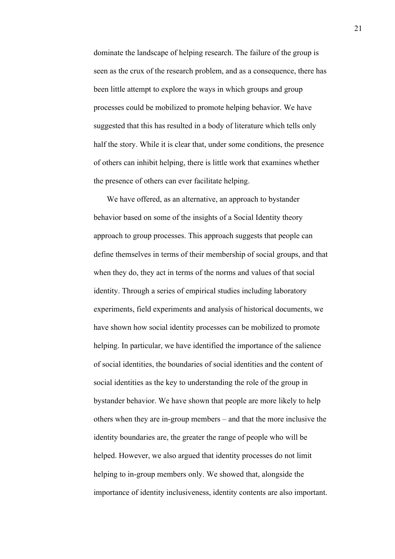dominate the landscape of helping research. The failure of the group is seen as the crux of the research problem, and as a consequence, there has been little attempt to explore the ways in which groups and group processes could be mobilized to promote helping behavior. We have suggested that this has resulted in a body of literature which tells only half the story. While it is clear that, under some conditions, the presence of others can inhibit helping, there is little work that examines whether the presence of others can ever facilitate helping.

We have offered, as an alternative, an approach to bystander behavior based on some of the insights of a Social Identity theory approach to group processes. This approach suggests that people can define themselves in terms of their membership of social groups, and that when they do, they act in terms of the norms and values of that social identity. Through a series of empirical studies including laboratory experiments, field experiments and analysis of historical documents, we have shown how social identity processes can be mobilized to promote helping. In particular, we have identified the importance of the salience of social identities, the boundaries of social identities and the content of social identities as the key to understanding the role of the group in bystander behavior. We have shown that people are more likely to help others when they are in-group members – and that the more inclusive the identity boundaries are, the greater the range of people who will be helped. However, we also argued that identity processes do not limit helping to in-group members only. We showed that, alongside the importance of identity inclusiveness, identity contents are also important.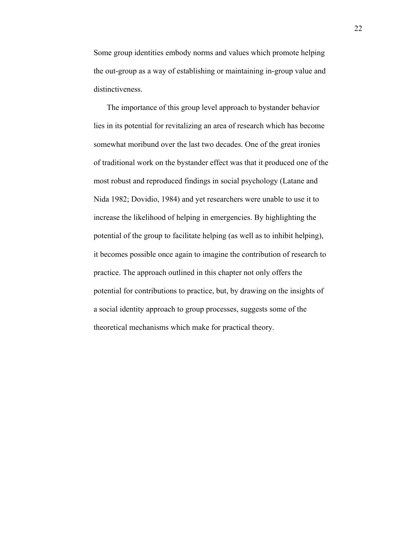Some group identities embody norms and values which promote helping the out-group as a way of establishing or maintaining in-group value and distinctiveness.

The importance of this group level approach to bystander behavior lies in its potential for revitalizing an area of research which has become somewhat moribund over the last two decades. One of the great ironies of traditional work on the bystander effect was that it produced one of the most robust and reproduced findings in social psychology (Latane and Nida 1982; Dovidio, 1984) and yet researchers were unable to use it to increase the likelihood of helping in emergencies. By highlighting the potential of the group to facilitate helping (as well as to inhibit helping), it becomes possible once again to imagine the contribution of research to practice. The approach outlined in this chapter not only offers the potential for contributions to practice, but, by drawing on the insights of a social identity approach to group processes, suggests some of the theoretical mechanisms which make for practical theory.

22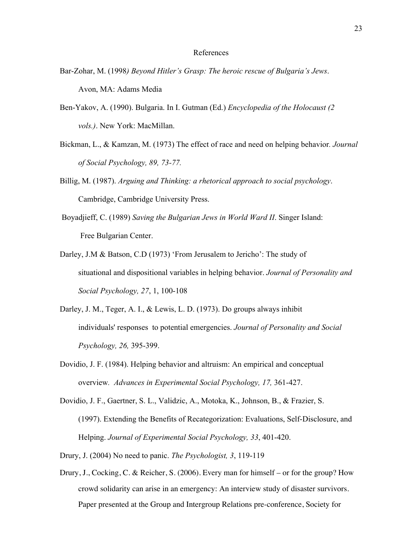# References

- Bar-Zohar, M. (1998*) Beyond Hitler's Grasp: The heroic rescue of Bulgaria's Jews*. Avon, MA: Adams Media
- Ben-Yakov, A. (1990). Bulgaria. In I. Gutman (Ed.) *Encyclopedia of the Holocaust (2 vols.)*. New York: MacMillan.
- Bickman, L., & Kamzan, M. (1973) The effect of race and need on helping behavior*. Journal of Social Psychology, 89, 73-77.*
- Billig, M. (1987). *Arguing and Thinking: a rhetorical approach to social psychology*. Cambridge, Cambridge University Press.
- Boyadjieff, C. (1989) *Saving the Bulgarian Jews in World Ward II*. Singer Island: Free Bulgarian Center.
- Darley, J.M & Batson, C.D (1973) 'From Jerusalem to Jericho': The study of situational and dispositional variables in helping behavior. *Journal of Personality and Social Psychology, 27*, 1, 100-108
- Darley, J. M., Teger, A. I., & Lewis, L. D. (1973). Do groups always inhibit individuals' responses to potential emergencies. *Journal of Personality and Social Psychology, 26,* 395-399.
- Dovidio, J. F. (1984). Helping behavior and altruism: An empirical and conceptual overview*. Advances in Experimental Social Psychology, 17,* 361-427.
- Dovidio, J. F., Gaertner, S. L., Validzic, A., Motoka, K., Johnson, B., & Frazier, S. (1997). Extending the Benefits of Recategorization: Evaluations, Self-Disclosure, and Helping. *Journal of Experimental Social Psychology, 33*, 401-420.
- Drury, J. (2004) No need to panic. *The Psychologist, 3*, 119-119
- Drury, J., Cocking, C. & Reicher, S. (2006). Every man for himself or for the group? How crowd solidarity can arise in an emergency: An interview study of disaster survivors. Paper presented at the Group and Intergroup Relations pre-conference, Society for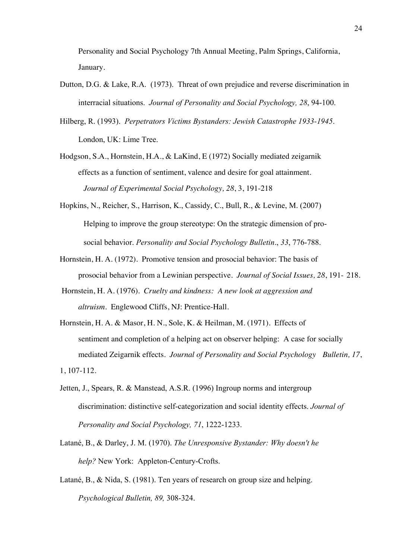Personality and Social Psychology 7th Annual Meeting, Palm Springs, California, January.

- Dutton, D.G. & Lake, R.A. (1973). Threat of own prejudice and reverse discrimination in interracial situations. *Journal of Personality and Social Psychology, 28*, 94-100.
- Hilberg, R. (1993). *Perpetrators Victims Bystanders: Jewish Catastrophe 1933-1945*. London, UK: Lime Tree.
- Hodgson, S.A., Hornstein, H.A., & LaKind, E (1972) Socially mediated zeigarnik effects as a function of sentiment, valence and desire for goal attainment. *Journal of Experimental Social Psychology, 28*, 3, 191-218
- Hopkins, N., Reicher, S., Harrison, K., Cassidy, C., Bull, R., & Levine, M. (2007) Helping to improve the group stereotype: On the strategic dimension of prosocial behavior. *Personality and Social Psychology Bulletin*., *33*, 776-788.
- Hornstein, H. A. (1972). Promotive tension and prosocial behavior: The basis of prosocial behavior from a Lewinian perspective. *Journal of Social Issues, 28*, 191- 218.
- Hornstein, H. A. (1976). *Cruelty and kindness: A new look at aggression and altruism*. Englewood Cliffs, NJ: Prentice-Hall.
- Hornstein, H. A. & Masor, H. N., Sole, K. & Heilman, M. (1971). Effects of sentiment and completion of a helping act on observer helping: A case for socially mediated Zeigarnik effects. *Journal of Personality and Social Psychology Bulletin, 17*, 1, 107-112.
- Jetten, J., Spears, R. & Manstead, A.S.R. (1996) Ingroup norms and intergroup discrimination: distinctive self-categorization and social identity effects. *Journal of Personality and Social Psychology, 71*, 1222-1233.
- Latané, B., & Darley, J. M. (1970). *The Unresponsive Bystander: Why doesn't he help?* New York: Appleton-Century-Crofts.
- Latané, B., & Nida, S. (1981). Ten years of research on group size and helping. *Psychological Bulletin, 89,* 308-324.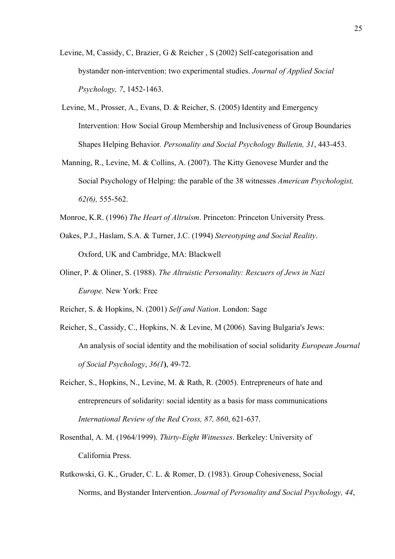- Levine, M, Cassidy, C, Brazier, G & Reicher , S (2002) Self-categorisation and bystander non-intervention: two experimental studies. *Journal of Applied Social Psychology, 7*, 1452-1463.
- Levine, M., Prosser, A., Evans, D. & Reicher, S. (2005) Identity and Emergency Intervention: How Social Group Membership and Inclusiveness of Group Boundaries Shapes Helping Behavior*. Personality and Social Psychology Bulletin, 31*, 443-453.
- Manning, R., Levine, M. & Collins, A. (2007). The Kitty Genovese Murder and the Social Psychology of Helping: the parable of the 38 witnesses *American Psychologist, 62(6),* 555-562.

Monroe, K.R. (1996) *The Heart of Altruism*. Princeton: Princeton University Press.

- Oakes, P.J., Haslam, S.A. & Turner, J.C. (1994) *Stereotyping and Social Reality*. Oxford, UK and Cambridge, MA: Blackwell
- Oliner, P. & Oliner, S. (1988). *The Altruistic Personality: Rescuers of Jews in Nazi Europe.* New York: Free

Reicher, S. & Hopkins, N. (2001) *Self and Nation*. London: Sage

- Reicher, S., Cassidy, C., Hopkins, N. & Levine, M (2006). Saving Bulgaria's Jews: An analysis of social identity and the mobilisation of social solidarity *European Journal of Social Psychology*, *36(1***)**, 49-72.
- Reicher, S., Hopkins, N., Levine, M. & Rath, R. (2005). Entrepreneurs of hate and entrepreneurs of solidarity: social identity as a basis for mass communications *International Review of the Red Cross, 87, 860*, 621-637.
- Rosenthal, A. M. (1964/1999). *Thirty-Eight Witnesses*. Berkeley: University of California Press.
- Rutkowski, G. K., Gruder, C. L. & Romer, D. (1983). Group Cohesiveness, Social Norms, and Bystander Intervention. *Journal of Personality and Social Psychology, 44*,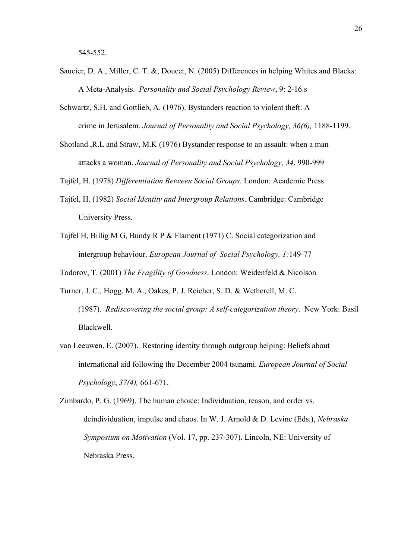- Saucier, D. A., Miller, C. T. &, Doucet, N. (2005) Differences in helping Whites and Blacks: A Meta-Analysis. *Personality and Social Psychology Review*, 9: 2-16.s
- Schwartz, S.H. and Gottlieb, A. (1976). Bystanders reaction to violent theft: A crime in Jerusalem. *Journal of Personality and Social Psychology, 36(6),* 1188-1199.
- Shotland ,R.L and Straw, M.K (1976) Bystander response to an assault: when a man attacks a woman. *Journal of Personality and Social Psychology, 34*, 990-999

Tajfel, H. (1978) *Differentiation Between Social Groups.* London: Academic Press

- Tajfel, H. (1982) *Social Identity and Intergroup Relations*. Cambridge: Cambridge University Press.
- Tajfel H, Billig M G, Bundy R P & Flament (1971) C. Social categorization and intergroup behaviour. *European Journal of Social Psychology, 1:*149-77

Todorov, T. (2001) *The Fragility of Goodness*. London: Weidenfeld & Nicolson

- Turner, J. C., Hogg, M. A., Oakes, P. J. Reicher, S. D. & Wetherell, M. C. (1987). *Rediscovering the social group: A self-categorization theory*. New York: Basil Blackwell.
- van Leeuwen, E. (2007). Restoring identity through outgroup helping: Beliefs about international aid following the December 2004 tsunami. *European Journal of Social Psychology*, *37(4),* 661-671.
- Zimbardo, P. G. (1969). The human choice: Individuation, reason, and order vs. deindividuation, impulse and chaos. In W. J. Arnold & D. Levine (Eds.), *Nebraska Symposium on Motivation* (Vol. 17, pp. 237-307). Lincoln, NE: University of Nebraska Press.